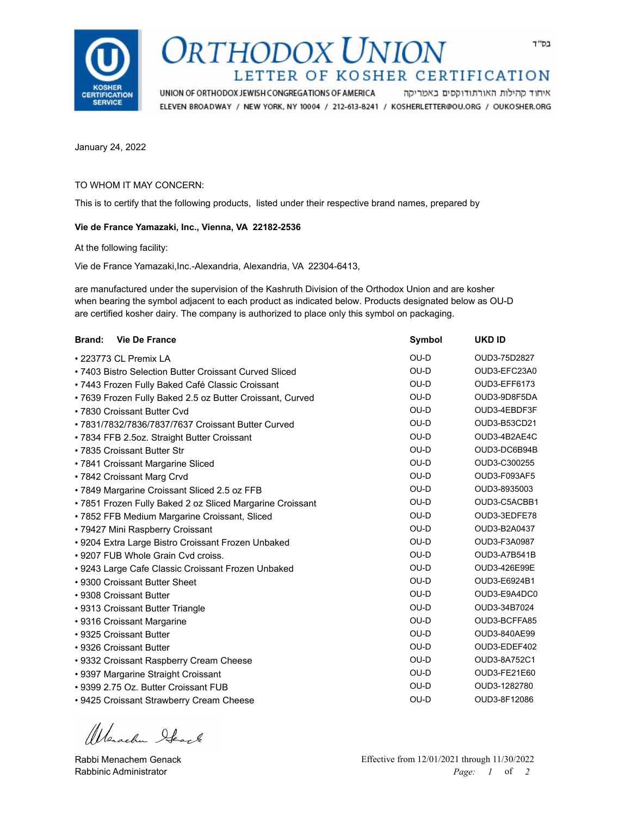

## DRTHODOX UNION LETTER OF KOSHER CERTIFICATION

UNION OF ORTHODOX JEWISH CONGREGATIONS OF AMERICA איחוד קהילות האורתודוקסים באמריקה ELEVEN BROADWAY / NEW YORK, NY 10004 / 212-613-8241 / KOSHERLETTER@OU.ORG / OUKOSHER.ORG

January 24, 2022

## TO WHOM IT MAY CONCERN:

This is to certify that the following products, listed under their respective brand names, prepared by

## **Vie de France Yamazaki, Inc., Vienna, VA 22182-2536**

At the following facility:

Vie de France Yamazaki,Inc.-Alexandria, Alexandria, VA 22304-6413,

are manufactured under the supervision of the Kashruth Division of the Orthodox Union and are kosher when bearing the symbol adjacent to each product as indicated below. Products designated below as OU-D are certified kosher dairy. The company is authorized to place only this symbol on packaging.

| Brand:<br><b>Vie De France</b>                            | Symbol | <b>UKD ID</b> |
|-----------------------------------------------------------|--------|---------------|
| • 223773 CL Premix LA                                     | $OU-D$ | OUD3-75D2827  |
| • 7403 Bistro Selection Butter Croissant Curved Sliced    | $OU-D$ | OUD3-EFC23A0  |
| • 7443 Frozen Fully Baked Café Classic Croissant          | $OU-D$ | OUD3-EFF6173  |
| • 7639 Frozen Fully Baked 2.5 oz Butter Croissant, Curved | $OU-D$ | OUD3-9D8F5DA  |
| • 7830 Croissant Butter Cvd                               | $OU-D$ | OUD3-4EBDF3F  |
| • 7831/7832/7836/7837/7637 Croissant Butter Curved        | $OU-D$ | OUD3-B53CD21  |
| • 7834 FFB 2.5oz. Straight Butter Croissant               | $OU-D$ | OUD3-4B2AE4C  |
| • 7835 Croissant Butter Str                               | OU-D   | OUD3-DC6B94B  |
| • 7841 Croissant Margarine Sliced                         | $OU-D$ | OUD3-C300255  |
| • 7842 Croissant Marg Crvd                                | OU-D   | OUD3-F093AF5  |
| • 7849 Margarine Croissant Sliced 2.5 oz FFB              | OU-D   | OUD3-8935003  |
| • 7851 Frozen Fully Baked 2 oz Sliced Margarine Croissant | $OU-D$ | OUD3-C5ACBB1  |
| • 7852 FFB Medium Margarine Croissant, Sliced             | OU-D   | OUD3-3EDFE78  |
| • 79427 Mini Raspberry Croissant                          | OU-D   | OUD3-B2A0437  |
| • 9204 Extra Large Bistro Croissant Frozen Unbaked        | OU-D   | OUD3-F3A0987  |
| • 9207 FUB Whole Grain Cvd croiss.                        | OU-D   | OUD3-A7B541B  |
| • 9243 Large Cafe Classic Croissant Frozen Unbaked        | OU-D   | OUD3-426E99E  |
| • 9300 Croissant Butter Sheet                             | OU-D   | OUD3-E6924B1  |
| • 9308 Croissant Butter                                   | OU-D   | OUD3-E9A4DC0  |
| • 9313 Croissant Butter Triangle                          | $OU-D$ | OUD3-34B7024  |
| • 9316 Croissant Margarine                                | OU-D   | OUD3-BCFFA85  |
| • 9325 Croissant Butter                                   | OU-D   | OUD3-840AE99  |
| • 9326 Croissant Butter                                   | OU-D   | OUD3-EDEF402  |
| • 9332 Croissant Raspberry Cream Cheese                   | $OU-D$ | OUD3-8A752C1  |
| • 9397 Margarine Straight Croissant                       | OU-D   | OUD3-FE21E60  |
| • 9399 2.75 Oz. Butter Croissant FUB                      | OU-D   | OUD3-1282780  |
| • 9425 Croissant Strawberry Cream Cheese                  | OU-D   | OUD3-8F12086  |

Werschn Heach

Rabbi Menachem Genack Rabbinic Administrator